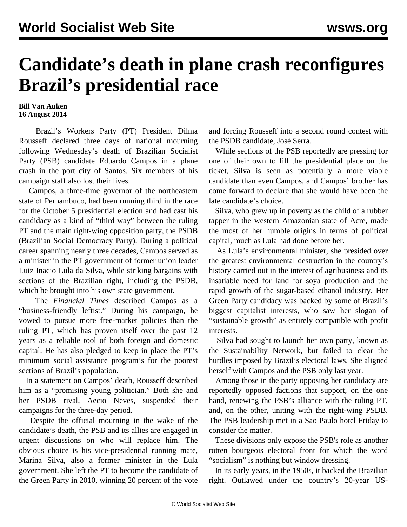## **Candidate's death in plane crash reconfigures Brazil's presidential race**

**Bill Van Auken 16 August 2014**

 Brazil's Workers Party (PT) President Dilma Rousseff declared three days of national mourning following Wednesday's death of Brazilian Socialist Party (PSB) candidate Eduardo Campos in a plane crash in the port city of Santos. Six members of his campaign staff also lost their lives.

 Campos, a three-time governor of the northeastern state of Pernambuco, had been running third in the race for the October 5 presidential election and had cast his candidacy as a kind of "third way" between the ruling PT and the main right-wing opposition party, the PSDB (Brazilian Social Democracy Party). During a political career spanning nearly three decades, Campos served as a minister in the PT government of former union leader Luiz Inacio Lula da Silva, while striking bargains with sections of the Brazilian right, including the PSDB, which he brought into his own state government.

 The *Financial Times* described Campos as a "business-friendly leftist." During his campaign, he vowed to pursue more free-market policies than the ruling PT, which has proven itself over the past 12 years as a reliable tool of both foreign and domestic capital. He has also pledged to keep in place the PT's minimum social assistance program's for the poorest sections of Brazil's population.

 In a statement on Campos' death, Rousseff described him as a "promising young politician." Both she and her PSDB rival, Aecio Neves, suspended their campaigns for the three-day period.

 Despite the official mourning in the wake of the candidate's death, the PSB and its allies are engaged in urgent discussions on who will replace him. The obvious choice is his vice-presidential running mate, Marina Silva, also a former minister in the Lula government. She left the PT to become the candidate of the Green Party in 2010, winning 20 percent of the vote

and forcing Rousseff into a second round contest with the PSDB candidate, José Serra.

 While sections of the PSB reportedly are pressing for one of their own to fill the presidential place on the ticket, Silva is seen as potentially a more viable candidate than even Campos, and Campos' brother has come forward to declare that she would have been the late candidate's choice.

 Silva, who grew up in poverty as the child of a rubber tapper in the western Amazonian state of Acre, made the most of her humble origins in terms of political capital, much as Lula had done before her.

 As Lula's environmental minister, she presided over the greatest environmental destruction in the country's history carried out in the interest of agribusiness and its insatiable need for land for soya production and the rapid growth of the sugar-based ethanol industry. Her Green Party candidacy was backed by some of Brazil's biggest capitalist interests, who saw her slogan of "sustainable growth" as entirely compatible with profit interests.

 Silva had sought to launch her own party, known as the Sustainability Network, but failed to clear the hurdles imposed by Brazil's electoral laws. She aligned herself with Campos and the PSB only last year.

 Among those in the party opposing her candidacy are reportedly opposed factions that support, on the one hand, renewing the PSB's alliance with the ruling PT, and, on the other, uniting with the right-wing PSDB. The PSB leadership met in a Sao Paulo hotel Friday to consider the matter.

 These divisions only expose the PSB's role as another rotten bourgeois electoral front for which the word "socialism" is nothing but window dressing.

 In its early years, in the 1950s, it backed the Brazilian right. Outlawed under the country's 20-year US-